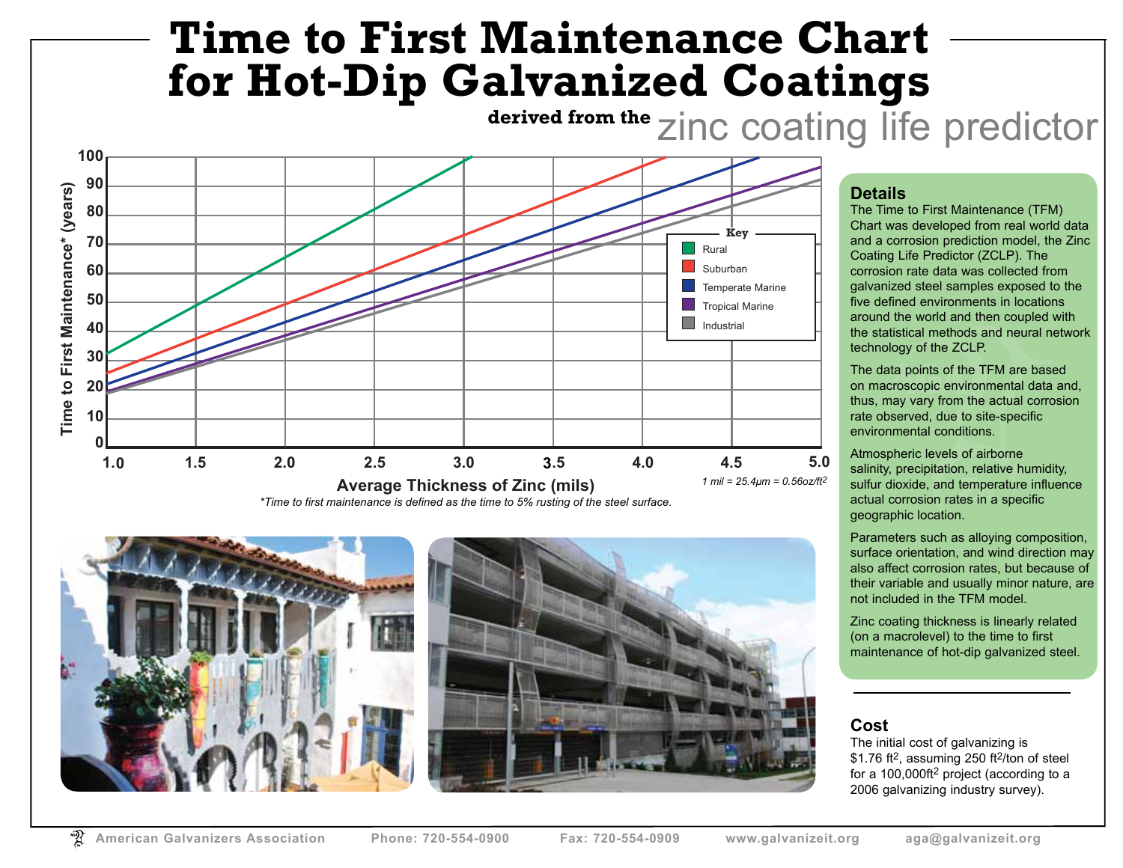# **Time to First Maintenance Chart for Hot-Dip Galvanized Coatings**





### **Details**

The Time to First Maintenance (TFM) Chart was developed from real world data and a corrosion prediction model, the Zinc Coating Life Predictor (ZCLP). The corrosion rate data was collected from galvanized steel samples exposed to the five defined environments in locations around the world and then coupled with the statistical methods and neural network technology of the ZCLP.

The data points of the TFM are based on macroscopic environmental data and, thus, may vary from the actual corrosion rate observed, due to site-specific environmental conditions.

Atmospheric levels of airborne salinity, precipitation, relative humidity, sulfur dioxide, and temperature influence actual corrosion rates in a specific geographic location.

Parameters such as alloying composition, surface orientation, and wind direction may also affect corrosion rates, but because of their variable and usually minor nature, are not included in the TFM model.

Zinc coating thickness is linearly related (on a macrolevel) to the time to first maintenance of hot-dip galvanized steel.

#### **Cost**

The initial cost of galvanizing is \$1.76 ft<sup>2</sup>, assuming 250 ft<sup>2</sup>/ton of steel for a 100,000ft2 project (according to a 2006 galvanizing industry survey).